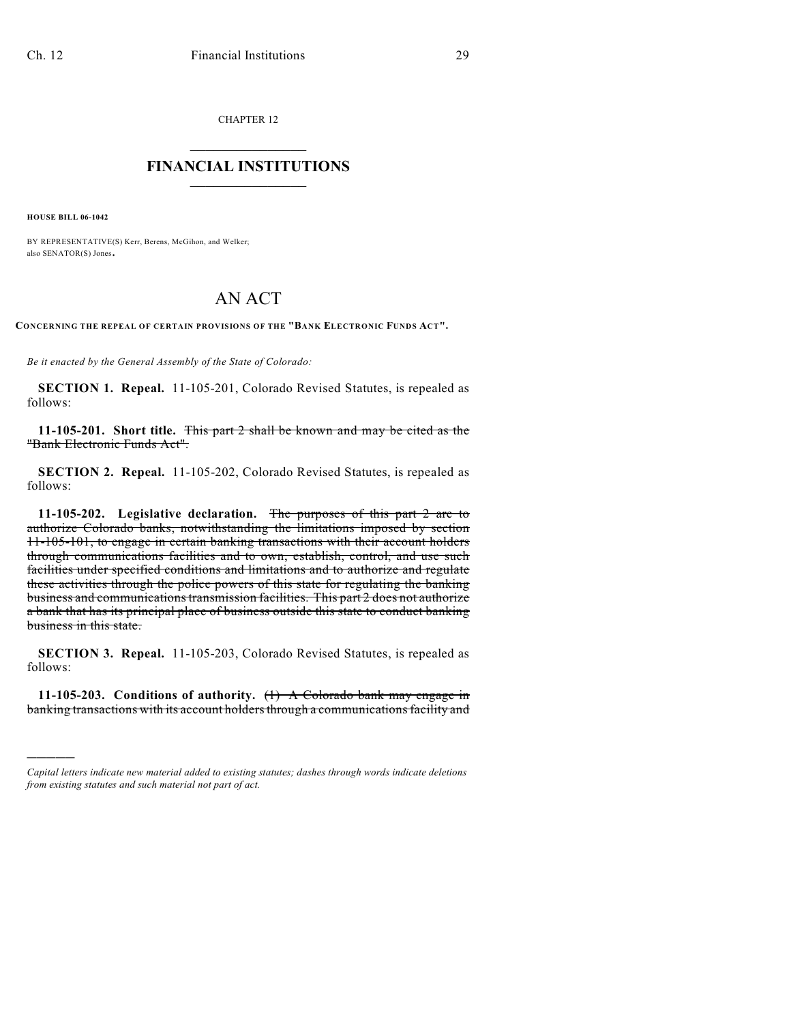CHAPTER 12

## $\overline{\phantom{a}}$  . The set of the set of the set of the set of the set of the set of the set of the set of the set of the set of the set of the set of the set of the set of the set of the set of the set of the set of the set o **FINANCIAL INSTITUTIONS**  $\frac{1}{2}$  ,  $\frac{1}{2}$  ,  $\frac{1}{2}$  ,  $\frac{1}{2}$  ,  $\frac{1}{2}$  ,  $\frac{1}{2}$  ,  $\frac{1}{2}$

**HOUSE BILL 06-1042**

)))))

BY REPRESENTATIVE(S) Kerr, Berens, McGihon, and Welker; also SENATOR(S) Jones.

## AN ACT

**CONCERNING THE REPEAL OF CERTAIN PROVISIONS OF THE "BANK ELECTRONIC FUNDS ACT".**

*Be it enacted by the General Assembly of the State of Colorado:*

**SECTION 1. Repeal.** 11-105-201, Colorado Revised Statutes, is repealed as follows:

**11-105-201. Short title.** This part 2 shall be known and may be cited as the "Bank Electronic Funds Act".

**SECTION 2. Repeal.** 11-105-202, Colorado Revised Statutes, is repealed as follows:

**11-105-202. Legislative declaration.** The purposes of this part 2 are to authorize Colorado banks, notwithstanding the limitations imposed by section 11-105-101, to engage in certain banking transactions with their account holders through communications facilities and to own, establish, control, and use such facilities under specified conditions and limitations and to authorize and regulate these activities through the police powers of this state for regulating the banking business and communications transmission facilities. This part 2 does not authorize a bank that has its principal place of business outside this state to conduct banking business in this state.

**SECTION 3. Repeal.** 11-105-203, Colorado Revised Statutes, is repealed as follows:

**11-105-203. Conditions of authority.** (1) A Colorado bank may engage in banking transactions with its account holders through a communications facility and

*Capital letters indicate new material added to existing statutes; dashes through words indicate deletions from existing statutes and such material not part of act.*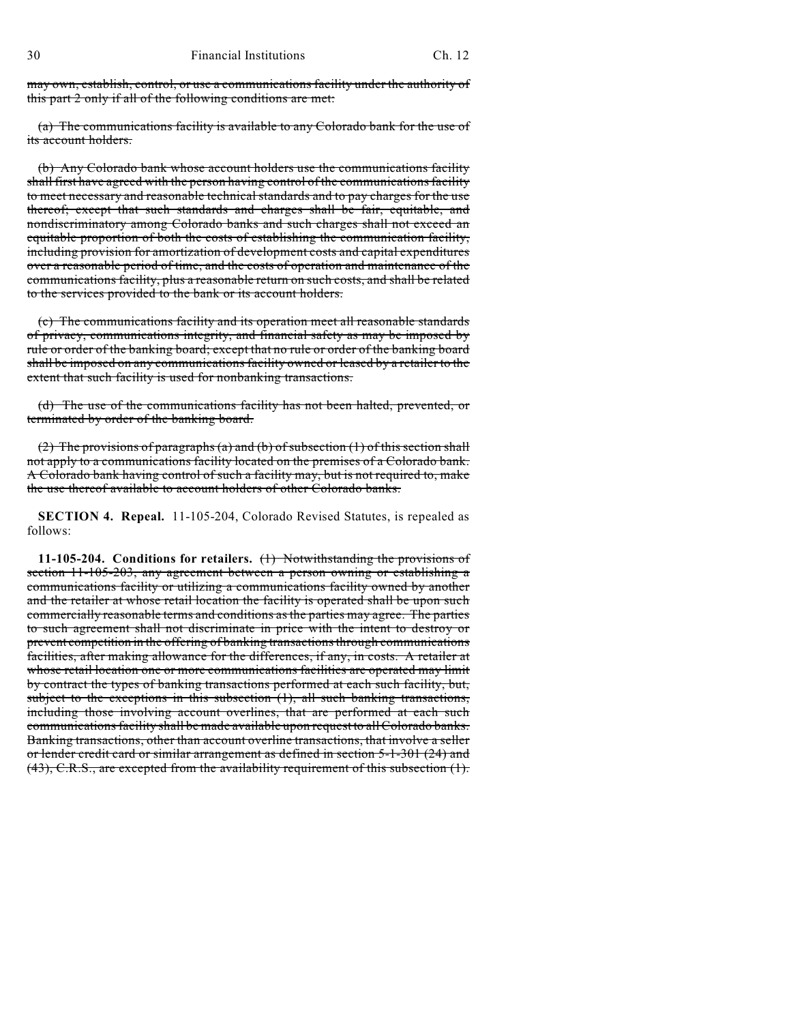may own, establish, control, or use a communications facility under the authority of this part 2 only if all of the following conditions are met:

(a) The communications facility is available to any Colorado bank for the use of its account holders.

(b) Any Colorado bank whose account holders use the communications facility shall first have agreed with the person having control of the communications facility to meet necessary and reasonable technical standards and to pay charges for the use thereof; except that such standards and charges shall be fair, equitable, and nondiscriminatory among Colorado banks and such charges shall not exceed an equitable proportion of both the costs of establishing the communication facility, including provision for amortization of development costs and capital expenditures over a reasonable period of time, and the costs of operation and maintenance of the communications facility, plus a reasonable return on such costs, and shall be related to the services provided to the bank or its account holders.

(c) The communications facility and its operation meet all reasonable standards of privacy, communications integrity, and financial safety as may be imposed by rule or order of the banking board; except that no rule or order of the banking board shall be imposed on any communications facility owned or leased by a retailer to the extent that such facility is used for nonbanking transactions.

(d) The use of the communications facility has not been halted, prevented, or terminated by order of the banking board.

(2) The provisions of paragraphs (a) and (b) of subsection (1) of this section shall not apply to a communications facility located on the premises of a Colorado bank. A Colorado bank having control of such a facility may, but is not required to, make the use thereof available to account holders of other Colorado banks.

**SECTION 4. Repeal.** 11-105-204, Colorado Revised Statutes, is repealed as follows:

**11-105-204. Conditions for retailers.** (1) Notwithstanding the provisions of section 11-105-203, any agreement between a person owning or establishing a communications facility or utilizing a communications facility owned by another and the retailer at whose retail location the facility is operated shall be upon such commercially reasonable terms and conditions as the parties may agree. The parties to such agreement shall not discriminate in price with the intent to destroy or prevent competition in the offering of banking transactions through communications facilities, after making allowance for the differences, if any, in costs. A retailer at whose retail location one or more communications facilities are operated may limit by contract the types of banking transactions performed at each such facility, but, subject to the exceptions in this subsection (1), all such banking transactions, including those involving account overlines, that are performed at each such communications facility shall be made available upon request to all Colorado banks. Banking transactions, other than account overline transactions, that involve a seller or lender credit card or similar arrangement as defined in section 5-1-301 (24) and (43), C.R.S., are excepted from the availability requirement of this subsection (1).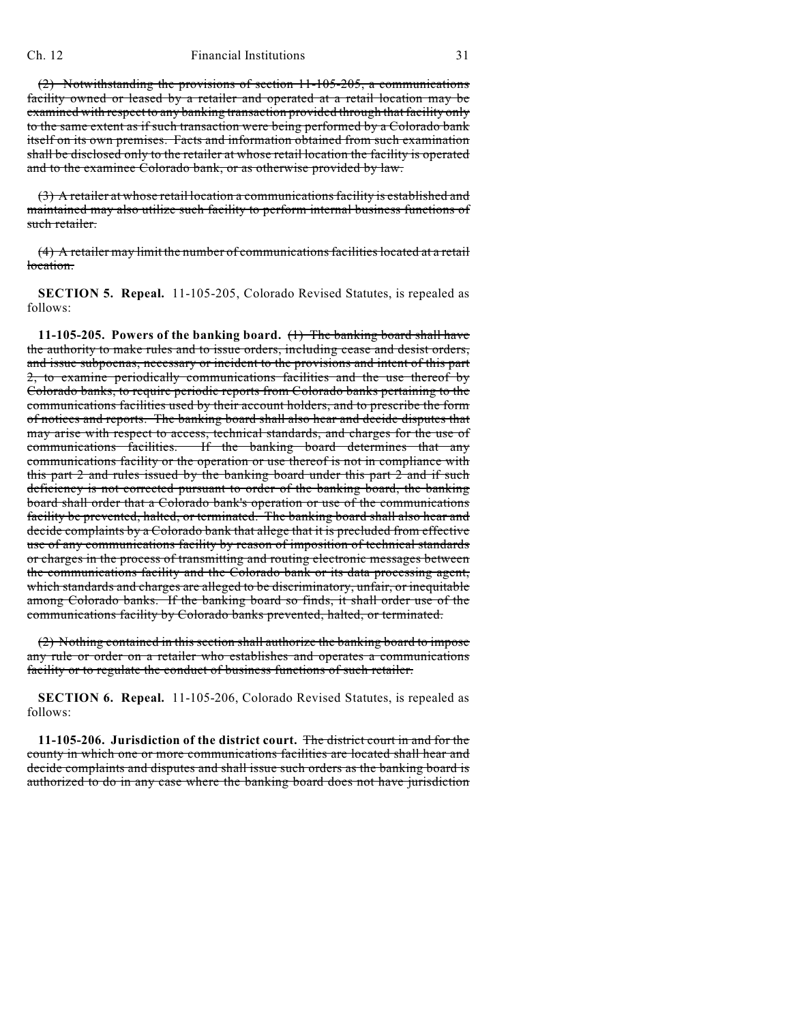## Ch. 12 Financial Institutions 31

(2) Notwithstanding the provisions of section 11-105-205, a communications facility owned or leased by a retailer and operated at a retail location may be examined with respect to any banking transaction provided through that facility only to the same extent as if such transaction were being performed by a Colorado bank itself on its own premises. Facts and information obtained from such examination shall be disclosed only to the retailer at whose retail location the facility is operated and to the examinee Colorado bank, or as otherwise provided by law.

(3) A retailer at whose retail location a communications facility is established and maintained may also utilize such facility to perform internal business functions of such retailer.

(4) A retailer may limit the number of communications facilities located at a retail location.

**SECTION 5. Repeal.** 11-105-205, Colorado Revised Statutes, is repealed as follows:

**11-105-205. Powers of the banking board.** (1) The banking board shall have the authority to make rules and to issue orders, including cease and desist orders, and issue subpoenas, necessary or incident to the provisions and intent of this part 2, to examine periodically communications facilities and the use thereof by Colorado banks, to require periodic reports from Colorado banks pertaining to the communications facilities used by their account holders, and to prescribe the form of notices and reports. The banking board shall also hear and decide disputes that may arise with respect to access, technical standards, and charges for the use of communications facilities. If the banking board determines that any communications facility or the operation or use thereof is not in compliance with this part 2 and rules issued by the banking board under this part 2 and if such deficiency is not corrected pursuant to order of the banking board, the banking board shall order that a Colorado bank's operation or use of the communications facility be prevented, halted, or terminated. The banking board shall also hear and decide complaints by a Colorado bank that allege that it is precluded from effective use of any communications facility by reason of imposition of technical standards or charges in the process of transmitting and routing electronic messages between the communications facility and the Colorado bank or its data processing agent, which standards and charges are alleged to be discriminatory, unfair, or inequitable among Colorado banks. If the banking board so finds, it shall order use of the communications facility by Colorado banks prevented, halted, or terminated.

(2) Nothing contained in this section shall authorize the banking board to impose any rule or order on a retailer who establishes and operates a communications facility or to regulate the conduct of business functions of such retailer.

**SECTION 6. Repeal.** 11-105-206, Colorado Revised Statutes, is repealed as follows:

**11-105-206. Jurisdiction of the district court.** The district court in and for the county in which one or more communications facilities are located shall hear and decide complaints and disputes and shall issue such orders as the banking board is authorized to do in any case where the banking board does not have jurisdiction